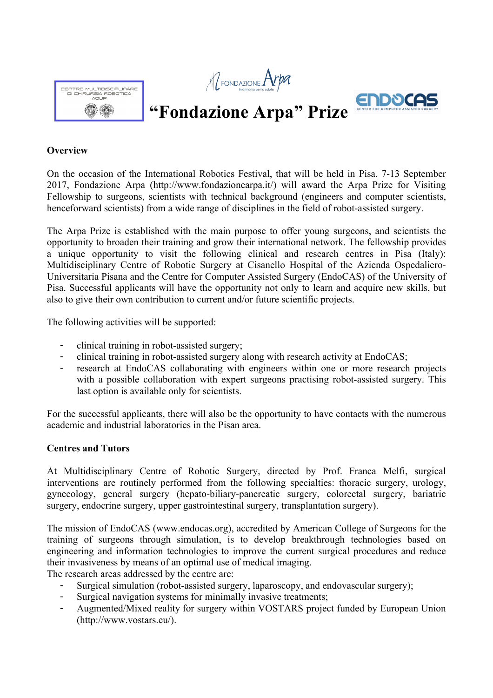





# **"Fondazione Arpa" Prize**

#### **Overview**

On the occasion of the International Robotics Festival, that will be held in Pisa, 7-13 September 2017, Fondazione Arpa (http://www.fondazionearpa.it/) will award the Arpa Prize for Visiting Fellowship to surgeons, scientists with technical background (engineers and computer scientists, henceforward scientists) from a wide range of disciplines in the field of robot-assisted surgery.

The Arpa Prize is established with the main purpose to offer young surgeons, and scientists the opportunity to broaden their training and grow their international network. The fellowship provides a unique opportunity to visit the following clinical and research centres in Pisa (Italy): Multidisciplinary Centre of Robotic Surgery at Cisanello Hospital of the Azienda Ospedaliero-Universitaria Pisana and the Centre for Computer Assisted Surgery (EndoCAS) of the University of Pisa. Successful applicants will have the opportunity not only to learn and acquire new skills, but also to give their own contribution to current and/or future scientific projects.

The following activities will be supported:

- clinical training in robot-assisted surgery;
- clinical training in robot-assisted surgery along with research activity at EndoCAS;
- research at EndoCAS collaborating with engineers within one or more research projects with a possible collaboration with expert surgeons practising robot-assisted surgery. This last option is available only for scientists.

For the successful applicants, there will also be the opportunity to have contacts with the numerous academic and industrial laboratories in the Pisan area.

### **Centres and Tutors**

At Multidisciplinary Centre of Robotic Surgery, directed by Prof. Franca Melfi, surgical interventions are routinely performed from the following specialties: thoracic surgery, urology, gynecology, general surgery (hepato-biliary-pancreatic surgery, colorectal surgery, bariatric surgery, endocrine surgery, upper gastrointestinal surgery, transplantation surgery).

The mission of EndoCAS (www.endocas.org), accredited by American College of Surgeons for the training of surgeons through simulation, is to develop breakthrough technologies based on engineering and information technologies to improve the current surgical procedures and reduce their invasiveness by means of an optimal use of medical imaging.

The research areas addressed by the centre are:

- Surgical simulation (robot-assisted surgery, laparoscopy, and endovascular surgery);
- **̵** Surgical navigation systems for minimally invasive treatments;
- Augmented/Mixed reality for surgery within VOSTARS project funded by European Union (http://www.vostars.eu/).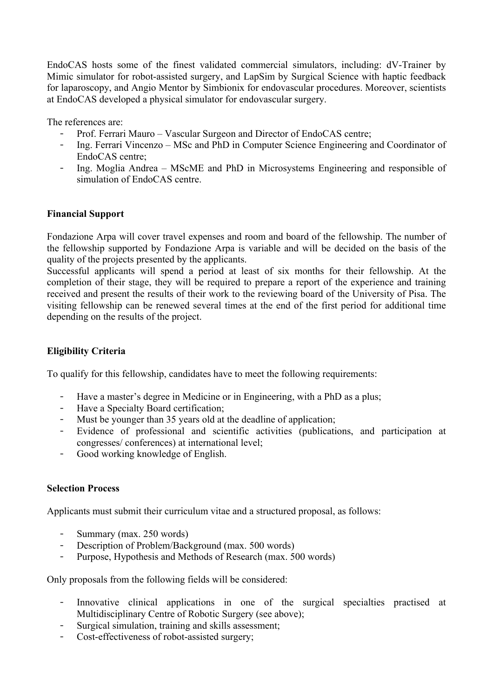EndoCAS hosts some of the finest validated commercial simulators, including: dV-Trainer by Mimic simulator for robot-assisted surgery, and LapSim by Surgical Science with haptic feedback for laparoscopy, and Angio Mentor by Simbionix for endovascular procedures. Moreover, scientists at EndoCAS developed a physical simulator for endovascular surgery.

The references are:

- Prof. Ferrari Mauro Vascular Surgeon and Director of EndoCAS centre;
- **̵** Ing. Ferrari Vincenzo MSc and PhD in Computer Science Engineering and Coordinator of EndoCAS centre;
- **̵** Ing. Moglia Andrea MScME and PhD in Microsystems Engineering and responsible of simulation of EndoCAS centre.

# **Financial Support**

Fondazione Arpa will cover travel expenses and room and board of the fellowship. The number of the fellowship supported by Fondazione Arpa is variable and will be decided on the basis of the quality of the projects presented by the applicants.

Successful applicants will spend a period at least of six months for their fellowship. At the completion of their stage, they will be required to prepare a report of the experience and training received and present the results of their work to the reviewing board of the University of Pisa. The visiting fellowship can be renewed several times at the end of the first period for additional time depending on the results of the project.

# **Eligibility Criteria**

To qualify for this fellowship, candidates have to meet the following requirements:

- **̵** Have a master's degree in Medicine or in Engineering, with a PhD as a plus;
- **̵** Have a Specialty Board certification;
- Must be younger than 35 years old at the deadline of application;
- **̵** Evidence of professional and scientific activities (publications, and participation at congresses/ conferences) at international level;
- **̵** Good working knowledge of English.

### **Selection Process**

Applicants must submit their curriculum vitae and a structured proposal, as follows:

- Summary (max. 250 words)
- Description of Problem/Background (max. 500 words)
- Purpose, Hypothesis and Methods of Research (max. 500 words)

Only proposals from the following fields will be considered:

- **̵** Innovative clinical applications in one of the surgical specialties practised at Multidisciplinary Centre of Robotic Surgery (see above);
- Surgical simulation, training and skills assessment;
- Cost-effectiveness of robot-assisted surgery;